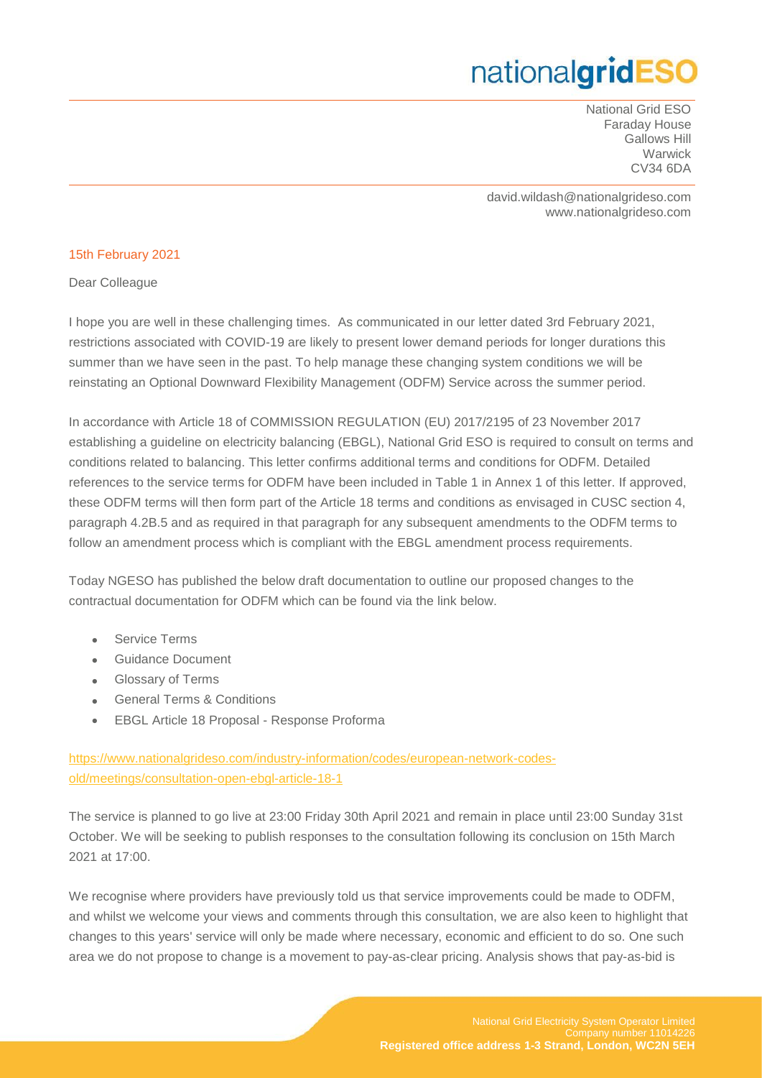National Grid ESO Faraday House Gallows Hill **Warwick** CV34 6DA

david.wildash@nationalgrideso.com www.nationalgrideso.com

#### 15th February 2021

Dear Colleague

I hope you are well in these challenging times. As communicated in our letter dated 3rd February 2021, restrictions associated with COVID-19 are likely to present lower demand periods for longer durations this summer than we have seen in the past. To help manage these changing system conditions we will be reinstating an Optional Downward Flexibility Management (ODFM) Service across the summer period.

In accordance with Article 18 of COMMISSION REGULATION (EU) 2017/2195 of 23 November 2017 establishing a guideline on electricity balancing (EBGL), National Grid ESO is required to consult on terms and conditions related to balancing. This letter confirms additional terms and conditions for ODFM. Detailed references to the service terms for ODFM have been included in Table 1 in Annex 1 of this letter. If approved, these ODFM terms will then form part of the Article 18 terms and conditions as envisaged in CUSC section 4, paragraph 4.2B.5 and as required in that paragraph for any subsequent amendments to the ODFM terms to follow an amendment process which is compliant with the EBGL amendment process requirements.

Today NGESO has published the below draft documentation to outline our proposed changes to the contractual documentation for ODFM which can be found via the link below.

- Service Terms
- Guidance Document
- Glossary of Terms
- General Terms & Conditions
- EBGL Article 18 Proposal Response Proforma

[https://www.nationalgrideso.com/industry-information/codes/european-network-codes](https://www.nationalgrideso.com/industry-information/codes/european-network-codes-old/meetings/consultation-open-ebgl-article-18-1)[old/meetings/consultation-open-ebgl-article-18-1](https://www.nationalgrideso.com/industry-information/codes/european-network-codes-old/meetings/consultation-open-ebgl-article-18-1)

The service is planned to go live at 23:00 Friday 30th April 2021 and remain in place until 23:00 Sunday 31st October. We will be seeking to publish responses to the consultation following its conclusion on 15th March 2021 at 17:00.

We recognise where providers have previously told us that service improvements could be made to ODFM, and whilst we welcome your views and comments through this consultation, we are also keen to highlight that changes to this years' service will only be made where necessary, economic and efficient to do so. One such area we do not propose to change is a movement to pay-as-clear pricing. Analysis shows that pay-as-bid is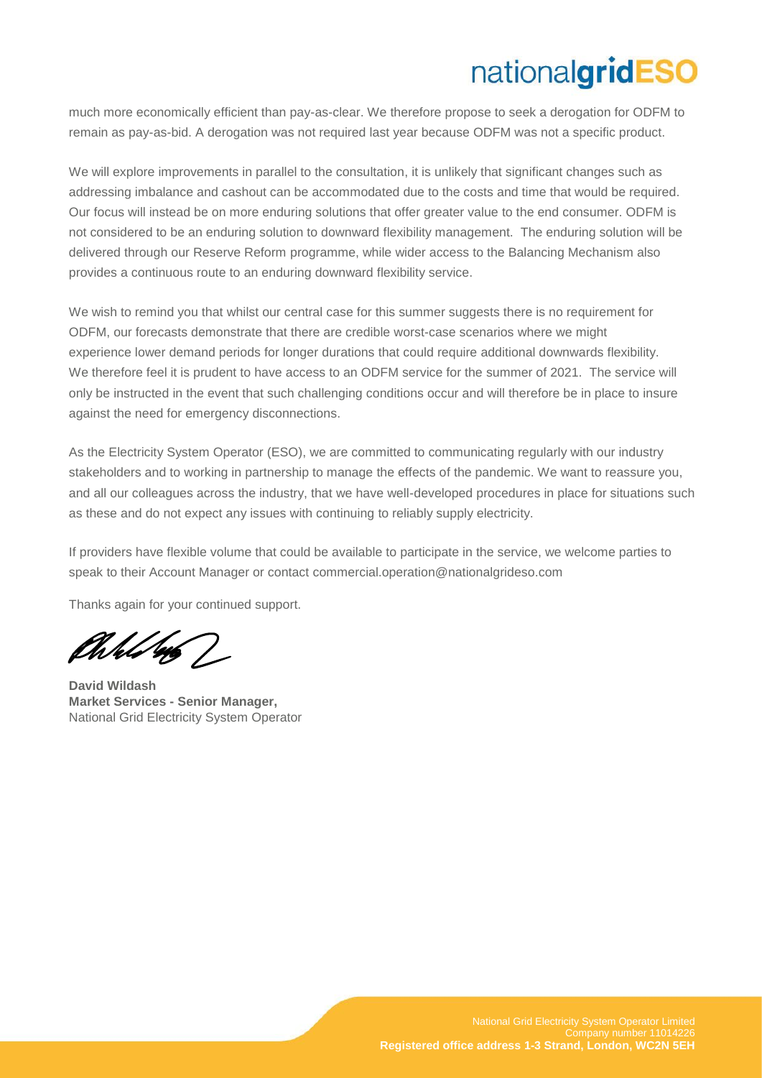much more economically efficient than pay-as-clear. We therefore propose to seek a derogation for ODFM to remain as pay-as-bid. A derogation was not required last year because ODFM was not a specific product.

We will explore improvements in parallel to the consultation, it is unlikely that significant changes such as addressing imbalance and cashout can be accommodated due to the costs and time that would be required. Our focus will instead be on more enduring solutions that offer greater value to the end consumer. ODFM is not considered to be an enduring solution to downward flexibility management. The enduring solution will be delivered through our Reserve Reform programme, while wider access to the Balancing Mechanism also provides a continuous route to an enduring downward flexibility service.

We wish to remind you that whilst our central case for this summer suggests there is no requirement for ODFM, our forecasts demonstrate that there are credible worst-case scenarios where we might experience lower demand periods for longer durations that could require additional downwards flexibility. We therefore feel it is prudent to have access to an ODFM service for the summer of 2021. The service will only be instructed in the event that such challenging conditions occur and will therefore be in place to insure against the need for emergency disconnections.

As the Electricity System Operator (ESO), we are committed to communicating regularly with our industry stakeholders and to working in partnership to manage the effects of the pandemic. We want to reassure you, and all our colleagues across the industry, that we have well-developed procedures in place for situations such as these and do not expect any issues with continuing to reliably supply electricity.

If providers have flexible volume that could be available to participate in the service, we welcome parties to speak to their Account Manager or contact [commercial.operation@nationalgrideso.com](mailto:commercial.operation@nationalgrideso.com)

Thanks again for your continued support.

Well 46 /

**David Wildash Market Services - Senior Manager,** National Grid Electricity System Operator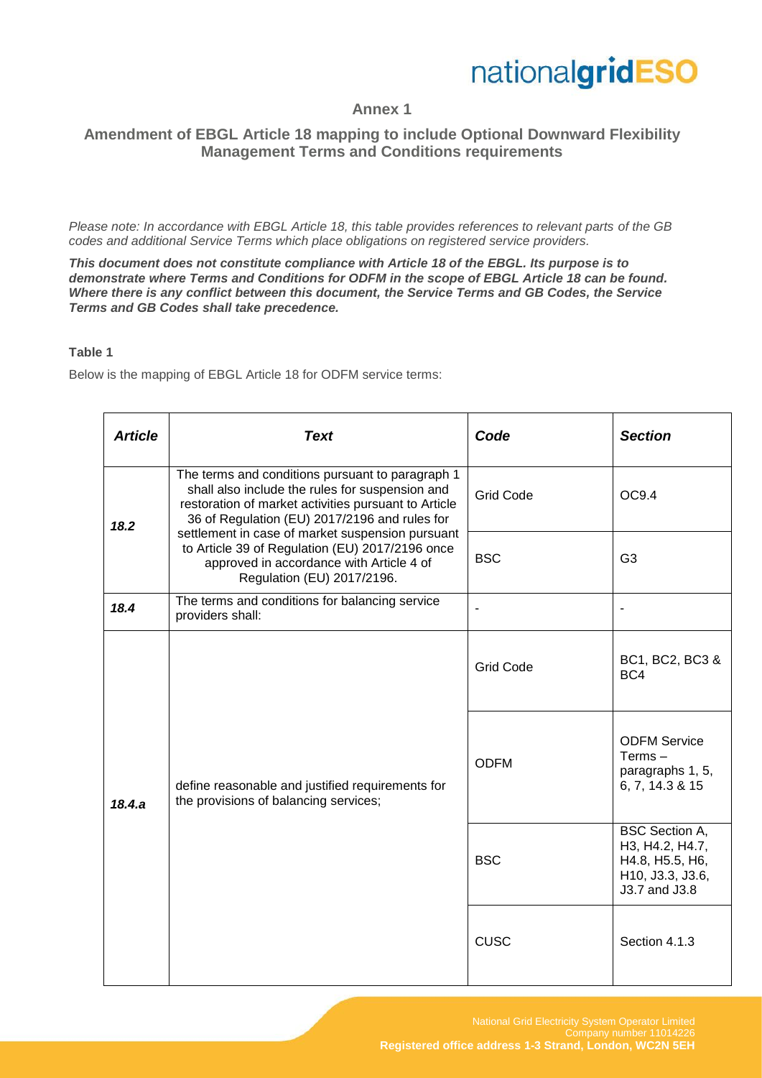

#### **Annex 1**

#### **Amendment of EBGL Article 18 mapping to include Optional Downward Flexibility Management Terms and Conditions requirements**

*Please note: In accordance with EBGL Article 18, this table provides references to relevant parts of the GB codes and additional Service Terms which place obligations on registered service providers.* 

*This document does not constitute compliance with Article 18 of the EBGL. Its purpose is to demonstrate where Terms and Conditions for ODFM in the scope of EBGL Article 18 can be found. Where there is any conflict between this document, the Service Terms and GB Codes, the Service Terms and GB Codes shall take precedence.*

#### **Table 1**

Below is the mapping of EBGL Article 18 for ODFM service terms:

| <b>Article</b> | <b>Text</b>                                                                                                                                                                                                                                                                                                                                                                                   | Code             | <b>Section</b>                                                                                   |
|----------------|-----------------------------------------------------------------------------------------------------------------------------------------------------------------------------------------------------------------------------------------------------------------------------------------------------------------------------------------------------------------------------------------------|------------------|--------------------------------------------------------------------------------------------------|
| 18.2           | The terms and conditions pursuant to paragraph 1<br>shall also include the rules for suspension and<br>restoration of market activities pursuant to Article<br>36 of Regulation (EU) 2017/2196 and rules for<br>settlement in case of market suspension pursuant<br>to Article 39 of Regulation (EU) 2017/2196 once<br>approved in accordance with Article 4 of<br>Regulation (EU) 2017/2196. | <b>Grid Code</b> | OC9.4                                                                                            |
|                |                                                                                                                                                                                                                                                                                                                                                                                               | <b>BSC</b>       | G <sub>3</sub>                                                                                   |
| 18.4           | The terms and conditions for balancing service<br>providers shall:                                                                                                                                                                                                                                                                                                                            |                  |                                                                                                  |
| 18.4.a         | define reasonable and justified requirements for<br>the provisions of balancing services;                                                                                                                                                                                                                                                                                                     | <b>Grid Code</b> | BC1, BC2, BC3 &<br>BC4                                                                           |
|                |                                                                                                                                                                                                                                                                                                                                                                                               | <b>ODFM</b>      | <b>ODFM Service</b><br>$Terms -$<br>paragraphs 1, 5,<br>6, 7, 14.3 & 15                          |
|                |                                                                                                                                                                                                                                                                                                                                                                                               | <b>BSC</b>       | <b>BSC Section A,</b><br>H3, H4.2, H4.7,<br>H4.8, H5.5, H6,<br>H10, J3.3, J3.6,<br>J3.7 and J3.8 |
|                |                                                                                                                                                                                                                                                                                                                                                                                               | <b>CUSC</b>      | Section 4.1.3                                                                                    |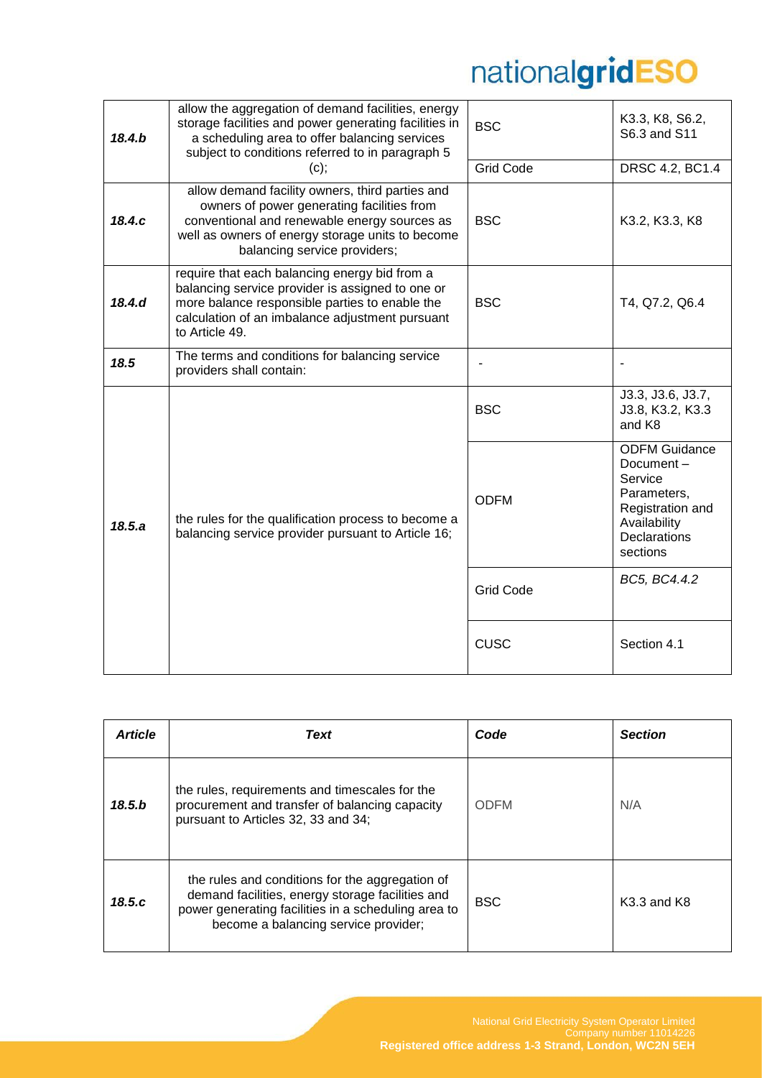| 18.4.b | allow the aggregation of demand facilities, energy<br>storage facilities and power generating facilities in<br>a scheduling area to offer balancing services<br>subject to conditions referred to in paragraph 5<br>(c); | <b>BSC</b><br><b>Grid Code</b> | K3.3, K8, S6.2,<br>S6.3 and S11<br>DRSC 4.2, BC1.4                                                                                 |
|--------|--------------------------------------------------------------------------------------------------------------------------------------------------------------------------------------------------------------------------|--------------------------------|------------------------------------------------------------------------------------------------------------------------------------|
|        | allow demand facility owners, third parties and<br>owners of power generating facilities from                                                                                                                            |                                |                                                                                                                                    |
| 18.4.c | conventional and renewable energy sources as<br>well as owners of energy storage units to become<br>balancing service providers;                                                                                         | <b>BSC</b>                     | K3.2, K3.3, K8                                                                                                                     |
| 18.4.d | require that each balancing energy bid from a<br>balancing service provider is assigned to one or<br>more balance responsible parties to enable the<br>calculation of an imbalance adjustment pursuant<br>to Article 49. | <b>BSC</b>                     | T4, Q7.2, Q6.4                                                                                                                     |
| 18.5   | The terms and conditions for balancing service<br>providers shall contain:                                                                                                                                               |                                |                                                                                                                                    |
|        |                                                                                                                                                                                                                          | <b>BSC</b>                     | J3.3, J3.6, J3.7,<br>J3.8, K3.2, K3.3<br>and K8                                                                                    |
| 18.5.a | the rules for the qualification process to become a<br>balancing service provider pursuant to Article 16;                                                                                                                | <b>ODFM</b>                    | <b>ODFM Guidance</b><br>Document-<br>Service<br>Parameters,<br>Registration and<br>Availability<br><b>Declarations</b><br>sections |
|        |                                                                                                                                                                                                                          | <b>Grid Code</b>               | BC5, BC4.4.2                                                                                                                       |
|        |                                                                                                                                                                                                                          | <b>CUSC</b>                    | Section 4.1                                                                                                                        |

| <b>Article</b> | Text                                                                                                                                                                                               | Code        | <b>Section</b>  |
|----------------|----------------------------------------------------------------------------------------------------------------------------------------------------------------------------------------------------|-------------|-----------------|
| 18.5.b         | the rules, requirements and timescales for the<br>procurement and transfer of balancing capacity<br>pursuant to Articles 32, 33 and 34;                                                            | <b>ODFM</b> | N/A             |
| 18.5.c         | the rules and conditions for the aggregation of<br>demand facilities, energy storage facilities and<br>power generating facilities in a scheduling area to<br>become a balancing service provider; | <b>BSC</b>  | $K3.3$ and $K8$ |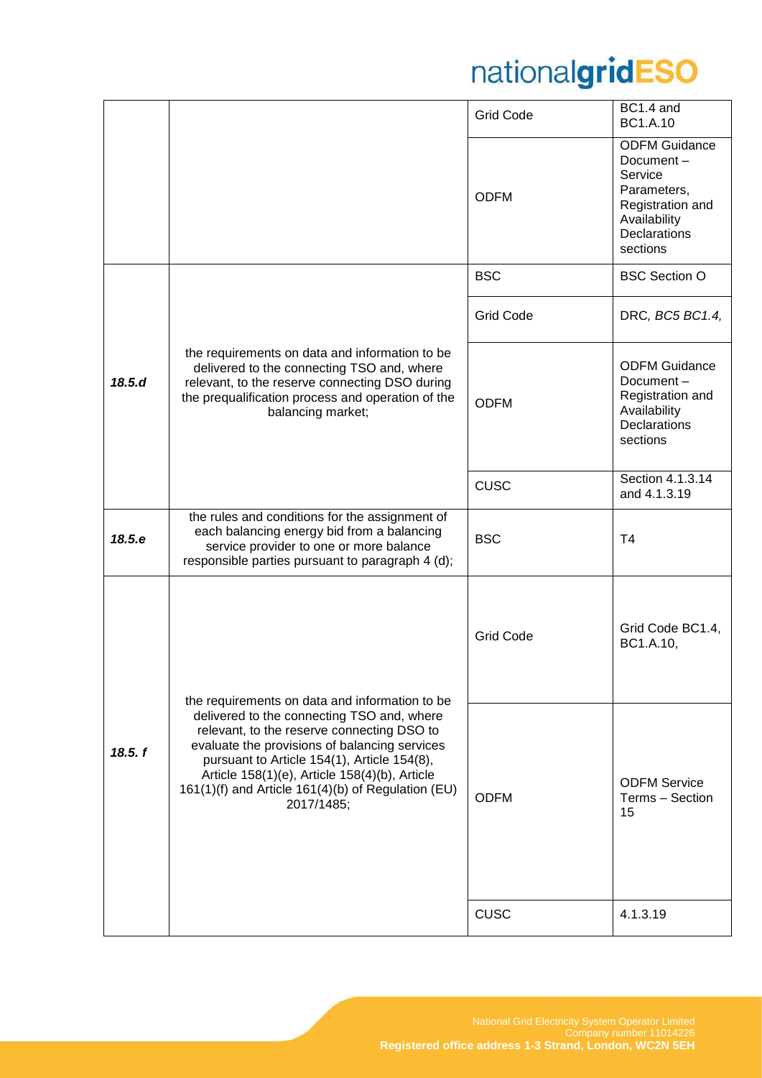|         |                                                                                                                                                                                                                                                                                                                                                                 | <b>Grid Code</b>                                                                                                                                                                                    | BC1.4 and<br><b>BC1.A.10</b>                                                                                                       |
|---------|-----------------------------------------------------------------------------------------------------------------------------------------------------------------------------------------------------------------------------------------------------------------------------------------------------------------------------------------------------------------|-----------------------------------------------------------------------------------------------------------------------------------------------------------------------------------------------------|------------------------------------------------------------------------------------------------------------------------------------|
|         |                                                                                                                                                                                                                                                                                                                                                                 | <b>ODFM</b>                                                                                                                                                                                         | <b>ODFM Guidance</b><br>Document-<br>Service<br>Parameters,<br>Registration and<br>Availability<br><b>Declarations</b><br>sections |
|         |                                                                                                                                                                                                                                                                                                                                                                 | <b>BSC</b>                                                                                                                                                                                          | <b>BSC Section O</b>                                                                                                               |
|         |                                                                                                                                                                                                                                                                                                                                                                 | <b>Grid Code</b>                                                                                                                                                                                    | DRC, BC5 BC1.4,                                                                                                                    |
| 18.5.d  | the requirements on data and information to be<br>delivered to the connecting TSO and, where<br>relevant, to the reserve connecting DSO during<br>the prequalification process and operation of the<br>balancing market;                                                                                                                                        | <b>ODFM Guidance</b><br>Document-<br>Registration and<br><b>ODFM</b><br>Availability<br>Declarations<br>sections<br>Section 4.1.3.14<br><b>CUSC</b><br>and 4.1.3.19<br><b>BSC</b><br>T <sub>4</sub> |                                                                                                                                    |
|         |                                                                                                                                                                                                                                                                                                                                                                 |                                                                                                                                                                                                     |                                                                                                                                    |
| 18.5.e  | the rules and conditions for the assignment of<br>each balancing energy bid from a balancing<br>service provider to one or more balance<br>responsible parties pursuant to paragraph 4 (d);                                                                                                                                                                     |                                                                                                                                                                                                     |                                                                                                                                    |
|         |                                                                                                                                                                                                                                                                                                                                                                 | <b>Grid Code</b>                                                                                                                                                                                    | Grid Code BC1.4,<br>BC1.A.10,                                                                                                      |
| 18.5. f | the requirements on data and information to be<br>delivered to the connecting TSO and, where<br>relevant, to the reserve connecting DSO to<br>evaluate the provisions of balancing services<br>pursuant to Article 154(1), Article 154(8),<br>Article 158(1)(e), Article 158(4)(b), Article<br>161(1)(f) and Article 161(4)(b) of Regulation (EU)<br>2017/1485; | <b>ODFM Service</b><br><b>ODFM</b><br>Terms - Section<br>15                                                                                                                                         |                                                                                                                                    |
|         |                                                                                                                                                                                                                                                                                                                                                                 | <b>CUSC</b>                                                                                                                                                                                         | 4.1.3.19                                                                                                                           |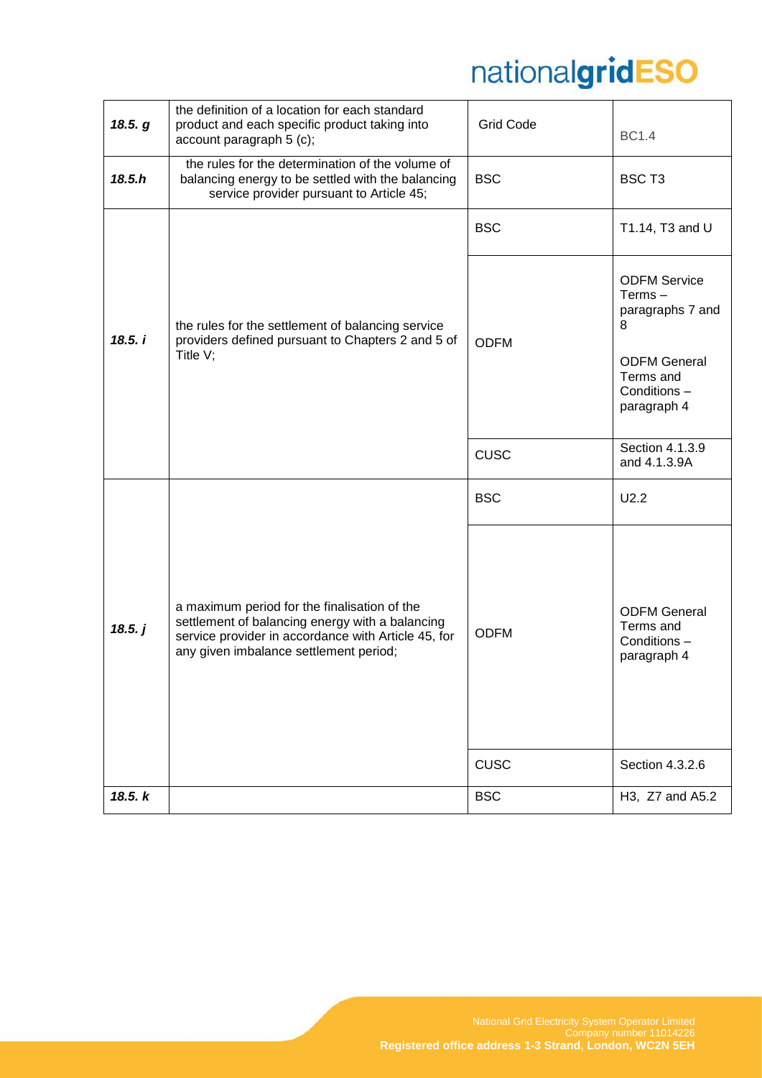| 18.5. g | the definition of a location for each standard<br>product and each specific product taking into<br>account paragraph 5 (c);                                                                      | <b>Grid Code</b>          | <b>BC1.4</b>                                                                                                                |
|---------|--------------------------------------------------------------------------------------------------------------------------------------------------------------------------------------------------|---------------------------|-----------------------------------------------------------------------------------------------------------------------------|
| 18.5.h  | the rules for the determination of the volume of<br>balancing energy to be settled with the balancing<br>service provider pursuant to Article 45;                                                | <b>BSC</b>                | BSC <sub>T3</sub>                                                                                                           |
|         |                                                                                                                                                                                                  | <b>BSC</b>                | T1.14, T3 and U                                                                                                             |
| 18.5.1  | the rules for the settlement of balancing service<br>providers defined pursuant to Chapters 2 and 5 of<br>Title $V$ ;                                                                            | <b>ODFM</b>               | <b>ODFM Service</b><br>$Terms -$<br>paragraphs 7 and<br>8<br><b>ODFM General</b><br>Terms and<br>Conditions-<br>paragraph 4 |
|         |                                                                                                                                                                                                  | <b>CUSC</b>               | Section 4.1.3.9<br>and 4.1.3.9A                                                                                             |
|         |                                                                                                                                                                                                  | <b>BSC</b>                | U2.2                                                                                                                        |
| 18.5. j | a maximum period for the finalisation of the<br>settlement of balancing energy with a balancing<br>service provider in accordance with Article 45, for<br>any given imbalance settlement period; | <b>ODFM</b>               | <b>ODFM General</b><br>Terms and<br>Conditions-<br>paragraph 4                                                              |
| 18.5. k |                                                                                                                                                                                                  | <b>CUSC</b><br><b>BSC</b> | Section 4.3.2.6<br>H3, Z7 and A5.2                                                                                          |
|         |                                                                                                                                                                                                  |                           |                                                                                                                             |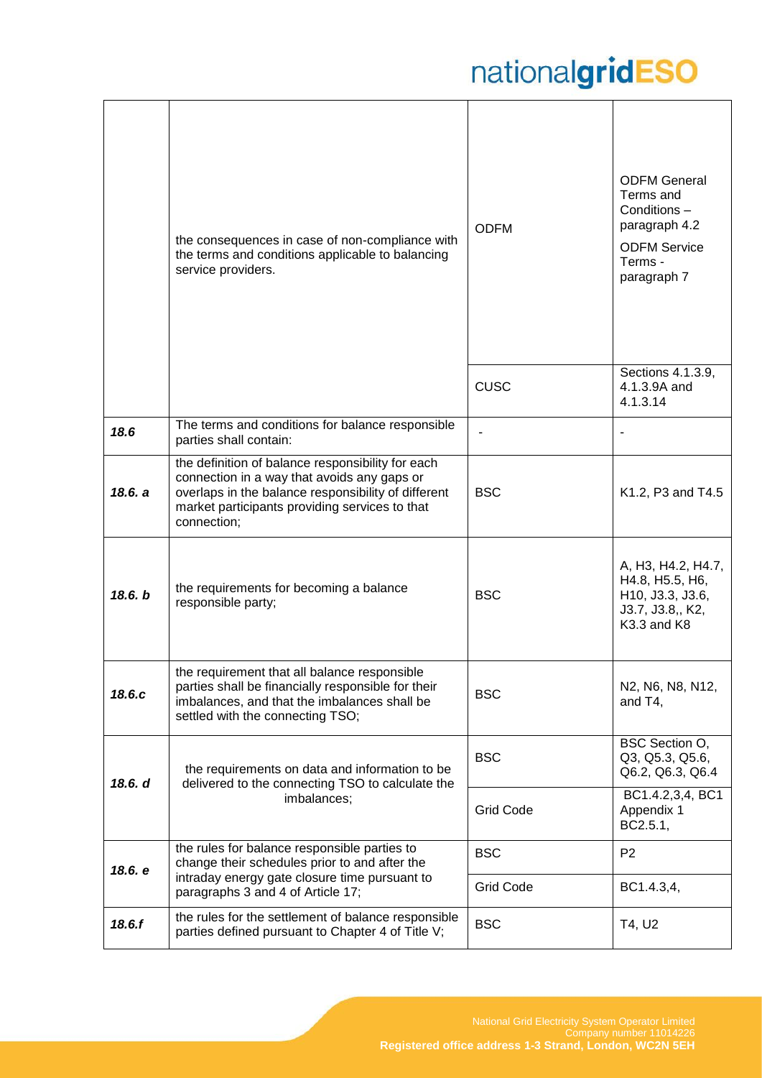|         | the consequences in case of non-compliance with<br>the terms and conditions applicable to balancing<br>service providers.                                                                                                | <b>ODFM</b>                    | <b>ODFM General</b><br>Terms and<br>Conditions-<br>paragraph 4.2<br><b>ODFM Service</b><br>Terms -<br>paragraph 7 |
|---------|--------------------------------------------------------------------------------------------------------------------------------------------------------------------------------------------------------------------------|--------------------------------|-------------------------------------------------------------------------------------------------------------------|
|         |                                                                                                                                                                                                                          | <b>CUSC</b>                    | Sections 4.1.3.9,<br>4.1.3.9A and<br>4.1.3.14                                                                     |
| 18.6    | The terms and conditions for balance responsible<br>parties shall contain:                                                                                                                                               |                                |                                                                                                                   |
| 18.6. a | the definition of balance responsibility for each<br>connection in a way that avoids any gaps or<br>overlaps in the balance responsibility of different<br>market participants providing services to that<br>connection; | <b>BSC</b>                     | K1.2, P3 and T4.5                                                                                                 |
| 18.6. b | the requirements for becoming a balance<br>responsible party;                                                                                                                                                            | <b>BSC</b>                     | A, H3, H4.2, H4.7,<br>H4.8, H5.5, H6,<br>H10, J3.3, J3.6,<br>J3.7, J3.8,, K2,<br>K3.3 and K8                      |
| 18.6.c  | the requirement that all balance responsible<br>parties shall be financially responsible for their<br>imbalances, and that the imbalances shall be<br>settled with the connecting TSO;                                   | <b>BSC</b>                     | N2, N6, N8, N12,<br>and T4,                                                                                       |
| 18.6. d | the requirements on data and information to be<br>delivered to the connecting TSO to calculate the                                                                                                                       | <b>BSC</b>                     | BSC Section O,<br>Q3, Q5.3, Q5.6,<br>Q6.2, Q6.3, Q6.4                                                             |
|         | imbalances;                                                                                                                                                                                                              | <b>Grid Code</b>               | BC1.4.2,3,4, BC1<br>Appendix 1<br>BC2.5.1,                                                                        |
| 18.6. e | the rules for balance responsible parties to<br>change their schedules prior to and after the<br>intraday energy gate closure time pursuant to<br>paragraphs 3 and 4 of Article 17;                                      | <b>BSC</b><br><b>Grid Code</b> | P <sub>2</sub><br>BC1.4.3,4,                                                                                      |
| 18.6.f  | the rules for the settlement of balance responsible<br>parties defined pursuant to Chapter 4 of Title V;                                                                                                                 | <b>BSC</b>                     | T4, U2                                                                                                            |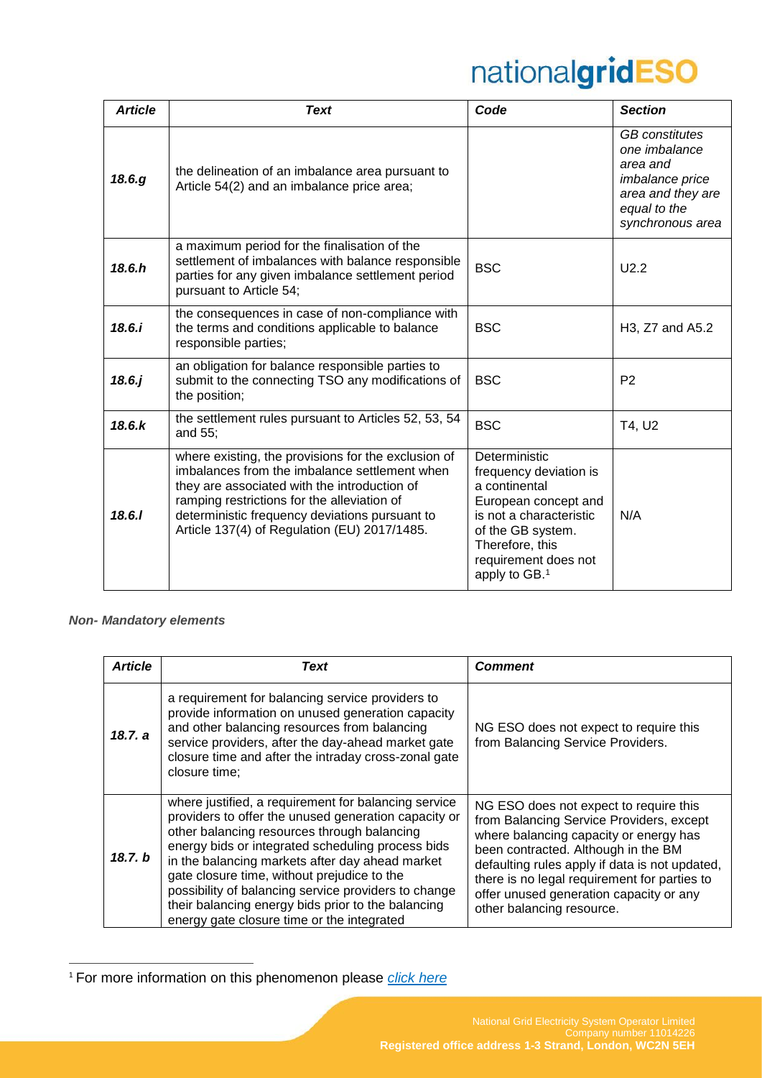| <b>Article</b> | <b>Text</b>                                                                                                                                                                                                                                                                                           | Code                                                                                                                                                                                                     | <b>Section</b>                                                                                                                               |
|----------------|-------------------------------------------------------------------------------------------------------------------------------------------------------------------------------------------------------------------------------------------------------------------------------------------------------|----------------------------------------------------------------------------------------------------------------------------------------------------------------------------------------------------------|----------------------------------------------------------------------------------------------------------------------------------------------|
| 18.6.g         | the delineation of an imbalance area pursuant to<br>Article 54(2) and an imbalance price area;                                                                                                                                                                                                        |                                                                                                                                                                                                          | <b>GB</b> constitutes<br>one <i>imbalance</i><br>area and<br><i>imbalance</i> price<br>area and they are<br>equal to the<br>synchronous area |
| 18.6 h         | a maximum period for the finalisation of the<br>settlement of imbalances with balance responsible<br>parties for any given imbalance settlement period<br>pursuant to Article 54;                                                                                                                     | <b>BSC</b>                                                                                                                                                                                               | U2.2                                                                                                                                         |
| 18.6.i         | the consequences in case of non-compliance with<br>the terms and conditions applicable to balance<br>responsible parties;                                                                                                                                                                             | <b>BSC</b>                                                                                                                                                                                               | H3, Z7 and A5.2                                                                                                                              |
| $18.6.$ j      | an obligation for balance responsible parties to<br>submit to the connecting TSO any modifications of<br>the position;                                                                                                                                                                                | <b>BSC</b>                                                                                                                                                                                               | P <sub>2</sub>                                                                                                                               |
| 18.6. k        | the settlement rules pursuant to Articles 52, 53, 54<br>and 55;                                                                                                                                                                                                                                       | <b>BSC</b>                                                                                                                                                                                               | T4, U2                                                                                                                                       |
| 18.6.1         | where existing, the provisions for the exclusion of<br>imbalances from the imbalance settlement when<br>they are associated with the introduction of<br>ramping restrictions for the alleviation of<br>deterministic frequency deviations pursuant to<br>Article 137(4) of Regulation (EU) 2017/1485. | Deterministic<br>frequency deviation is<br>a continental<br>European concept and<br>is not a characteristic<br>of the GB system.<br>Therefore, this<br>requirement does not<br>apply to GB. <sup>1</sup> | N/A                                                                                                                                          |

#### *Non- Mandatory elements*

 $\overline{a}$ 

| <b>Article</b> | <b>Text</b>                                                                                                                                                                                                                                                                                                                                                                                                                                                                    | <b>Comment</b>                                                                                                                                                                                                                                                                                                                                |
|----------------|--------------------------------------------------------------------------------------------------------------------------------------------------------------------------------------------------------------------------------------------------------------------------------------------------------------------------------------------------------------------------------------------------------------------------------------------------------------------------------|-----------------------------------------------------------------------------------------------------------------------------------------------------------------------------------------------------------------------------------------------------------------------------------------------------------------------------------------------|
| 18.7. a        | a requirement for balancing service providers to<br>provide information on unused generation capacity<br>and other balancing resources from balancing<br>service providers, after the day-ahead market gate<br>closure time and after the intraday cross-zonal gate<br>closure time:                                                                                                                                                                                           | NG ESO does not expect to require this<br>from Balancing Service Providers.                                                                                                                                                                                                                                                                   |
| 18.7. b        | where justified, a requirement for balancing service<br>providers to offer the unused generation capacity or<br>other balancing resources through balancing<br>energy bids or integrated scheduling process bids<br>in the balancing markets after day ahead market<br>gate closure time, without prejudice to the<br>possibility of balancing service providers to change<br>their balancing energy bids prior to the balancing<br>energy gate closure time or the integrated | NG ESO does not expect to require this<br>from Balancing Service Providers, except<br>where balancing capacity or energy has<br>been contracted. Although in the BM<br>defaulting rules apply if data is not updated,<br>there is no legal requirement for parties to<br>offer unused generation capacity or any<br>other balancing resource. |

<sup>1</sup> For more information on this phenomenon please *[click here](http://paulusjansen.sp.nl/weblog/files/2012/09/ENK-20120917-RAP-Eurelectric-Frequency_Deviations.pdf)*